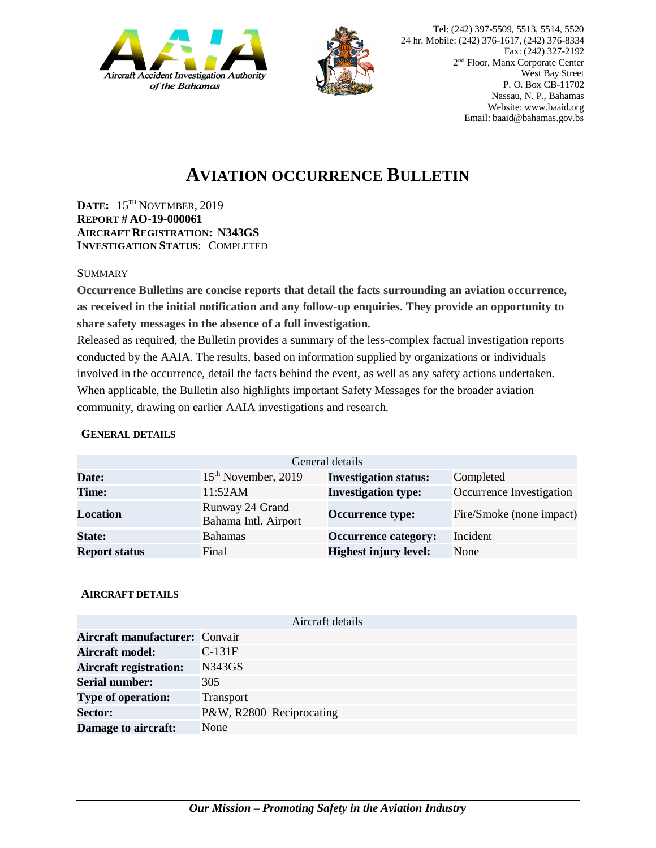



# **AVIATION OCCURRENCE BULLETIN**

**DATE:** 15TH NOVEMBER, 2019 **REPORT # AO-19-000061 AIRCRAFT REGISTRATION: N343GS INVESTIGATION STATUS**: COMPLETED

#### **SUMMARY**

**Occurrence Bulletins are concise reports that detail the facts surrounding an aviation occurrence, as received in the initial notification and any follow-up enquiries. They provide an opportunity to share safety messages in the absence of a full investigation***.*

Released as required, the Bulletin provides a summary of the less-complex factual investigation reports conducted by the AAIA. The results, based on information supplied by organizations or individuals involved in the occurrence, detail the facts behind the event, as well as any safety actions undertaken. When applicable, the Bulletin also highlights important Safety Messages for the broader aviation community, drawing on earlier AAIA investigations and research.

### **GENERAL DETAILS**

| General details      |                                         |                              |                          |
|----------------------|-----------------------------------------|------------------------------|--------------------------|
| Date:                | 15 <sup>th</sup> November, 2019         | <b>Investigation status:</b> | Completed                |
| Time:                | 11:52AM                                 | <b>Investigation type:</b>   | Occurrence Investigation |
| <b>Location</b>      | Runway 24 Grand<br>Bahama Intl. Airport | <b>Occurrence type:</b>      | Fire/Smoke (none impact) |
| <b>State:</b>        | <b>Bahamas</b>                          | <b>Occurrence category:</b>  | Incident                 |
| <b>Report status</b> | Final                                   | <b>Highest injury level:</b> | None                     |

### **AIRCRAFT DETAILS**

|                                | Aircraft details         |
|--------------------------------|--------------------------|
| Aircraft manufacturer: Convair |                          |
| Aircraft model:                | $C-131F$                 |
| <b>Aircraft registration:</b>  | N343GS                   |
| <b>Serial number:</b>          | 305                      |
| Type of operation:             | Transport                |
| Sector:                        | P&W, R2800 Reciprocating |
| <b>Damage to aircraft:</b>     | None                     |